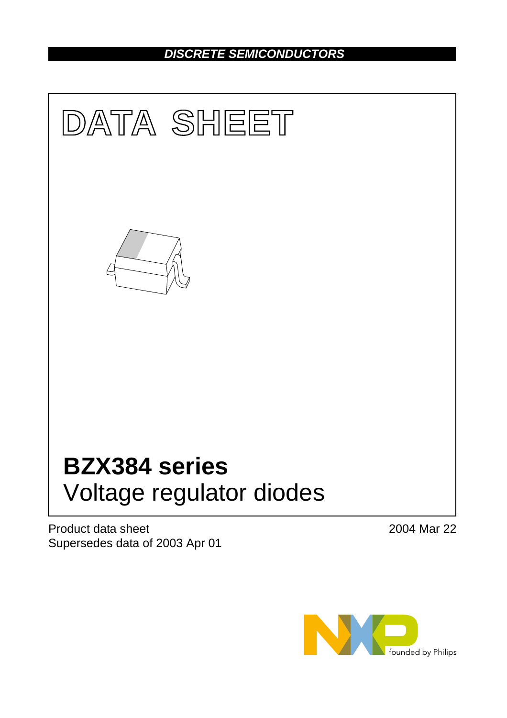# *DISCRETE SEMICONDUCTORS*



Product data sheet Supersedes data of 2003 Apr 01 2004 Mar 22

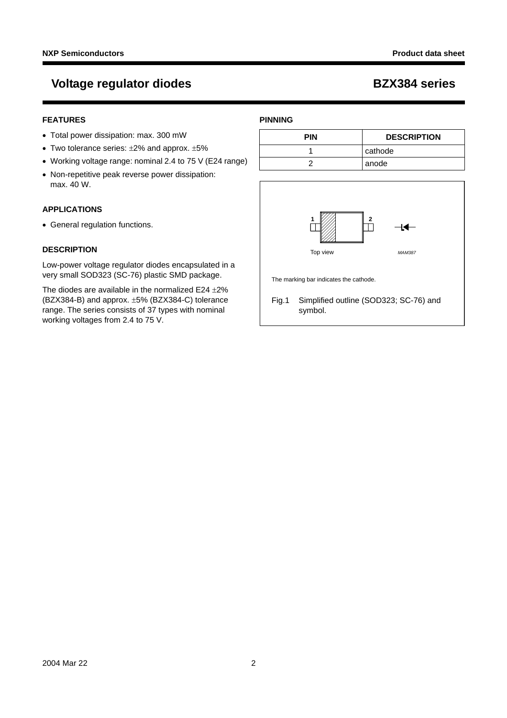# **Voltage regulator diodes BZX384 series**

# **FEATURES**

- Total power dissipation: max. 300 mW
- Two tolerance series: ±2% and approx. ±5%
- Working voltage range: nominal 2.4 to 75 V (E24 range)
- Non-repetitive peak reverse power dissipation: max. 40 W.

# **APPLICATIONS**

• General regulation functions.

## **DESCRIPTION**

Low-power voltage regulator diodes encapsulated in a very small SOD323 (SC-76) plastic SMD package.

The diodes are available in the normalized  $E24 \pm 2\%$ (BZX384-B) and approx. ±5% (BZX384-C) tolerance range. The series consists of 37 types with nominal working voltages from 2.4 to 75 V.

## **PINNING**

| <b>PIN</b> | <b>DESCRIPTION</b> |
|------------|--------------------|
|            | l cathode          |
|            | anode              |

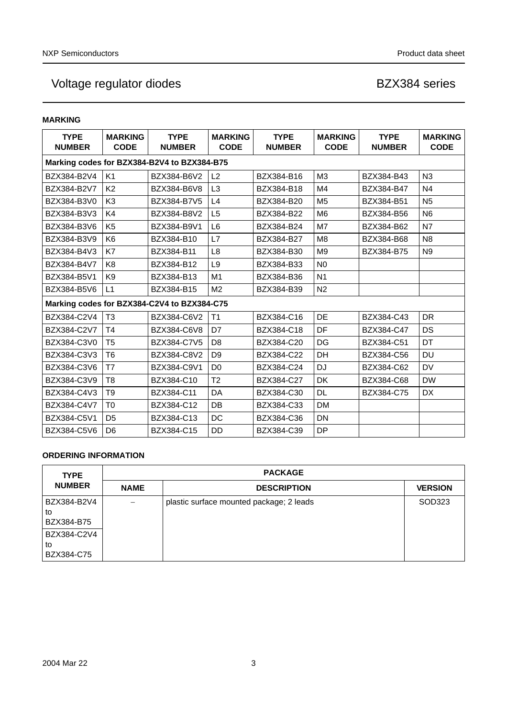# **MARKING**

| <b>TYPE</b><br><b>NUMBER</b> | <b>MARKING</b><br><b>CODE</b>               | <b>TYPE</b><br><b>NUMBER</b>                | <b>MARKING</b><br><b>CODE</b> | <b>TYPE</b><br><b>NUMBER</b> | <b>MARKING</b><br><b>CODE</b> | <b>TYPE</b><br><b>NUMBER</b> | <b>MARKING</b><br><b>CODE</b> |  |  |  |  |
|------------------------------|---------------------------------------------|---------------------------------------------|-------------------------------|------------------------------|-------------------------------|------------------------------|-------------------------------|--|--|--|--|
|                              | Marking codes for BZX384-B2V4 to BZX384-B75 |                                             |                               |                              |                               |                              |                               |  |  |  |  |
| BZX384-B2V4                  | K <sub>1</sub>                              | BZX384-B6V2                                 | L <sub>2</sub>                | BZX384-B16                   | M <sub>3</sub>                | BZX384-B43                   | N <sub>3</sub>                |  |  |  |  |
| BZX384-B2V7                  | K <sub>2</sub>                              | BZX384-B6V8                                 | L <sub>3</sub>                | BZX384-B18                   | M4                            | BZX384-B47                   | N <sub>4</sub>                |  |  |  |  |
| BZX384-B3V0                  | K <sub>3</sub>                              | BZX384-B7V5                                 | L4                            | BZX384-B20                   | M <sub>5</sub>                | BZX384-B51                   | N <sub>5</sub>                |  |  |  |  |
| BZX384-B3V3                  | K4                                          | BZX384-B8V2                                 | L <sub>5</sub>                | BZX384-B22                   | M <sub>6</sub>                | BZX384-B56                   | N <sub>6</sub>                |  |  |  |  |
| BZX384-B3V6                  | K <sub>5</sub>                              | BZX384-B9V1                                 | L <sub>6</sub>                | BZX384-B24                   | M7                            | BZX384-B62                   | N7                            |  |  |  |  |
| BZX384-B3V9                  | K <sub>6</sub>                              | BZX384-B10                                  | L7                            | BZX384-B27                   | M <sub>8</sub>                | BZX384-B68                   | N <sub>8</sub>                |  |  |  |  |
| BZX384-B4V3                  | K7                                          | BZX384-B11                                  | L <sub>8</sub>                | BZX384-B30                   | M <sub>9</sub>                | BZX384-B75                   | N <sub>9</sub>                |  |  |  |  |
| BZX384-B4V7                  | K <sub>8</sub>                              | BZX384-B12                                  | L <sub>9</sub>                | BZX384-B33                   | N <sub>0</sub>                |                              |                               |  |  |  |  |
| BZX384-B5V1                  | K <sub>9</sub>                              | BZX384-B13                                  | M <sub>1</sub>                | BZX384-B36                   | N <sub>1</sub>                |                              |                               |  |  |  |  |
| BZX384-B5V6                  | L1                                          | BZX384-B15                                  | M <sub>2</sub>                | BZX384-B39                   | N <sub>2</sub>                |                              |                               |  |  |  |  |
|                              |                                             | Marking codes for BZX384-C2V4 to BZX384-C75 |                               |                              |                               |                              |                               |  |  |  |  |
| BZX384-C2V4                  | T <sub>3</sub>                              | BZX384-C6V2                                 | T <sub>1</sub>                | BZX384-C16                   | <b>DE</b>                     | BZX384-C43                   | <b>DR</b>                     |  |  |  |  |
| BZX384-C2V7                  | T <sub>4</sub>                              | BZX384-C6V8                                 | D7                            | BZX384-C18                   | DF                            | BZX384-C47                   | DS                            |  |  |  |  |
| BZX384-C3V0                  | T <sub>5</sub>                              | BZX384-C7V5                                 | D <sub>8</sub>                | BZX384-C20                   | DG                            | BZX384-C51                   | DT                            |  |  |  |  |
| BZX384-C3V3                  | T <sub>6</sub>                              | BZX384-C8V2                                 | D <sub>9</sub>                | BZX384-C22                   | DH                            | BZX384-C56                   | <b>DU</b>                     |  |  |  |  |
| BZX384-C3V6                  | T7                                          | BZX384-C9V1                                 | D <sub>0</sub>                | BZX384-C24                   | <b>DJ</b>                     | BZX384-C62                   | <b>DV</b>                     |  |  |  |  |
| BZX384-C3V9                  | T8                                          | BZX384-C10                                  | T <sub>2</sub>                | BZX384-C27                   | DK                            | BZX384-C68                   | <b>DW</b>                     |  |  |  |  |
| BZX384-C4V3                  | T <sub>9</sub>                              | BZX384-C11                                  | DA                            | BZX384-C30                   | DL                            | BZX384-C75                   | <b>DX</b>                     |  |  |  |  |
| BZX384-C4V7                  | T <sub>0</sub>                              | BZX384-C12                                  | DB                            | BZX384-C33                   | DM                            |                              |                               |  |  |  |  |
| BZX384-C5V1                  | D <sub>5</sub>                              | BZX384-C13                                  | DC                            | BZX384-C36                   | DN                            |                              |                               |  |  |  |  |
| BZX384-C5V6                  | D <sub>6</sub>                              | BZX384-C15                                  | <b>DD</b>                     | BZX384-C39                   | <b>DP</b>                     |                              |                               |  |  |  |  |

# **ORDERING INFORMATION**

| <b>TYPE</b>                     | <b>PACKAGE</b> |                                          |                |  |  |  |  |
|---------------------------------|----------------|------------------------------------------|----------------|--|--|--|--|
| <b>NUMBER</b><br><b>NAME</b>    |                | <b>DESCRIPTION</b>                       | <b>VERSION</b> |  |  |  |  |
| BZX384-B2V4<br>to<br>BZX384-B75 |                | plastic surface mounted package; 2 leads | SOD323         |  |  |  |  |
| BZX384-C2V4<br>to<br>BZX384-C75 |                |                                          |                |  |  |  |  |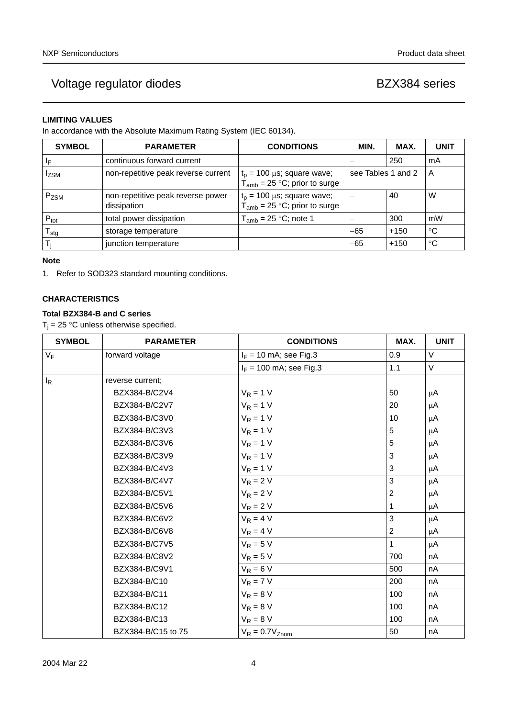# **LIMITING VALUES**

In accordance with the Absolute Maximum Rating System (IEC 60134).

| <b>SYMBOL</b>    | <b>PARAMETER</b>                                 | <b>CONDITIONS</b>                                                     |                    |        |                         |  |
|------------------|--------------------------------------------------|-----------------------------------------------------------------------|--------------------|--------|-------------------------|--|
| -lF              | continuous forward current                       |                                                                       |                    | 250    | mA                      |  |
| <b>IzsM</b>      | non-repetitive peak reverse current              | $t_p = 100 \mu s$ ; square wave;<br>$T_{amb}$ = 25 °C; prior to surge | see Tables 1 and 2 |        | $\overline{\mathsf{A}}$ |  |
| $P_{ZSM}$        | non-repetitive peak reverse power<br>dissipation | $t_p = 100 \mu s$ ; square wave;<br>$T_{amb}$ = 25 °C; prior to surge |                    | 40     | W                       |  |
| $P_{\text{tot}}$ | total power dissipation                          | $T_{amb}$ = 25 °C; note 1                                             |                    | 300    | mW                      |  |
| l <sub>Stg</sub> | storage temperature                              |                                                                       | $-65$              | $+150$ | °C                      |  |
|                  | junction temperature                             |                                                                       | $-65$              | $+150$ | °C                      |  |

## **Note**

<span id="page-3-0"></span>1. Refer to SOD323 standard mounting conditions.

# **CHARACTERISTICS**

# **Total BZX384-B and C series**

 $T_j = 25$  °C unless otherwise specified.

| <b>SYMBOL</b> | <b>PARAMETER</b>   | <b>CONDITIONS</b>         | MAX.         | <b>UNIT</b> |
|---------------|--------------------|---------------------------|--------------|-------------|
| $V_F$         | forward voltage    | $I_F = 10$ mA; see Fig.3  | 0.9          | V           |
|               |                    | $I_F$ = 100 mA; see Fig.3 | 1.1          | V           |
| $I_R$         | reverse current;   |                           |              |             |
|               | BZX384-B/C2V4      | $V_R = 1 V$               | 50           | μA          |
|               | BZX384-B/C2V7      | $V_R = 1 V$               | 20           | μA          |
|               | BZX384-B/C3V0      | $V_R = 1 V$               | 10           | μA          |
|               | BZX384-B/C3V3      | $V_R = 1 V$               | 5            | μA          |
|               | BZX384-B/C3V6      | $V_R = 1 V$               | 5            | μA          |
|               | BZX384-B/C3V9      | $V_R = 1 V$               | 3            | μA          |
|               | BZX384-B/C4V3      | $V_R = 1 V$               | 3            | μA          |
|               | BZX384-B/C4V7      | $V_R = 2 V$               | $\mathbf{3}$ | μA          |
|               | BZX384-B/C5V1      | $V_R = 2 V$               | 2            | μA          |
|               | BZX384-B/C5V6      | $V_R = 2 V$               | 1            | μA          |
|               | BZX384-B/C6V2      | $V_R = 4 V$               | 3            | μA          |
|               | BZX384-B/C6V8      | $V_R = 4 V$               | 2            | μA          |
|               | BZX384-B/C7V5      | $V_R = 5 V$               | 1            | μA          |
|               | BZX384-B/C8V2      | $V_R = 5 V$               | 700          | nA          |
|               | BZX384-B/C9V1      | $V_R = 6 V$               | 500          | nA          |
|               | BZX384-B/C10       | $V_R = 7 V$               | 200          | nA          |
|               | BZX384-B/C11       | $V_R = 8 V$               | 100          | nA          |
|               | BZX384-B/C12       | $V_R = 8 V$               | 100          | nA          |
|               | BZX384-B/C13       | $V_R = 8 V$               | 100          | nA          |
|               | BZX384-B/C15 to 75 | $V_R = 0.7V_{Znom}$       | 50           | nA          |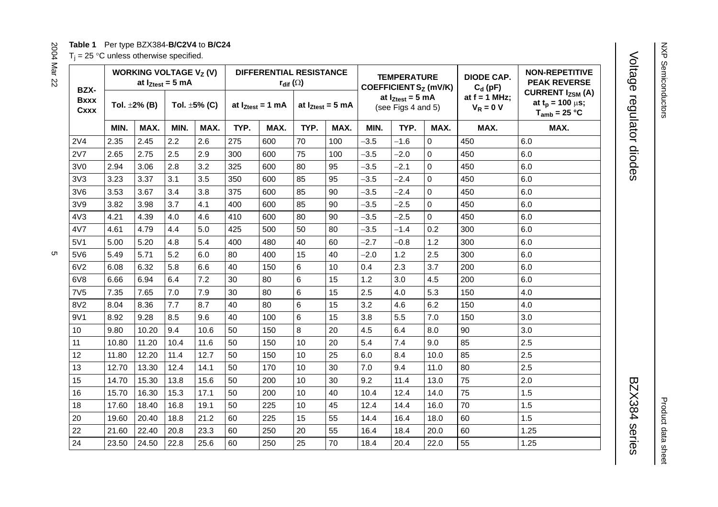## **Table 1** Per type BZX384-**B/C2V4** to **B/C24**

 $T_i = 25$  °C unless otherwise specified.

<span id="page-4-0"></span>

| BZX-                |       | <b>WORKING VOLTAGE V<sub>z</sub> (V)</b> | at $I_{Ztest} = 5$ mA |                    | <b>DIFFERENTIAL RESISTANCE</b><br>$r_{\text{dif}}(\Omega)$ |                       |      |                       | <b>TEMPERATURE</b><br>COEFFICIENT Sz (mV/K) |                                             | <b>DIODE CAP.</b><br>$C_d$ (pF) | <b>NON-REPETITIVE</b><br><b>PEAK REVERSE</b> |                                                                                   |
|---------------------|-------|------------------------------------------|-----------------------|--------------------|------------------------------------------------------------|-----------------------|------|-----------------------|---------------------------------------------|---------------------------------------------|---------------------------------|----------------------------------------------|-----------------------------------------------------------------------------------|
| <b>Bxxx</b><br>Cxxx |       | Tol. $\pm 2\%$ (B)                       |                       | Tol. $\pm 5\%$ (C) |                                                            | at $I_{Ztest} = 1$ mA |      | at $I_{Ztest} = 5$ mA |                                             | at $I_{Ztest} = 5$ mA<br>(see Figs 4 and 5) |                                 | at $f = 1$ MHz;<br>$V_R = 0 V$               | <b>CURRENT I<sub>ZSM</sub></b> (A)<br>at $t_p = 100 \mu s$ ;<br>$T_{amb}$ = 25 °C |
|                     | MIN.  | MAX.                                     | MIN.                  | MAX.               | TYP.                                                       | MAX.                  | TYP. | MAX.                  | MIN.                                        | TYP.                                        | MAX.                            | MAX.                                         | MAX.                                                                              |
| 2V <sub>4</sub>     | 2.35  | 2.45                                     | 2.2                   | 2.6                | 275                                                        | 600                   | 70   | 100                   | $-3.5$                                      | $-1.6$                                      | $\mathbf{0}$                    | 450                                          | 6.0                                                                               |
| 2V7                 | 2.65  | 2.75                                     | 2.5                   | 2.9                | 300                                                        | 600                   | 75   | 100                   | $-3.5$                                      | $-2.0$                                      | 0                               | 450                                          | 6.0                                                                               |
| 3V0                 | 2.94  | 3.06                                     | 2.8                   | 3.2                | 325                                                        | 600                   | 80   | 95                    | $-3.5$                                      | $-2.1$                                      | $\mathbf 0$                     | 450                                          | 6.0                                                                               |
| 3V3                 | 3.23  | 3.37                                     | 3.1                   | 3.5                | 350                                                        | 600                   | 85   | 95                    | $-3.5$                                      | $-2.4$                                      | $\Omega$                        | 450                                          | 6.0                                                                               |
| 3V6                 | 3.53  | 3.67                                     | 3.4                   | 3.8                | 375                                                        | 600                   | 85   | 90                    | $-3.5$                                      | $-2.4$                                      | $\mathbf 0$                     | 450                                          | 6.0                                                                               |
| 3V9                 | 3.82  | 3.98                                     | 3.7                   | 4.1                | 400                                                        | 600                   | 85   | 90                    | $-3.5$                                      | $-2.5$                                      | 0                               | 450                                          | 6.0                                                                               |
| 4V3                 | 4.21  | 4.39                                     | 4.0                   | 4.6                | 410                                                        | 600                   | 80   | 90                    | $-3.5$                                      | $-2.5$                                      | $\mathbf 0$                     | 450                                          | 6.0                                                                               |
| 4V7                 | 4.61  | 4.79                                     | 4.4                   | 5.0                | 425                                                        | 500                   | 50   | 80                    | $-3.5$                                      | $-1.4$                                      | 0.2                             | 300                                          | 6.0                                                                               |
| 5V1                 | 5.00  | 5.20                                     | 4.8                   | 5.4                | 400                                                        | 480                   | 40   | 60                    | $-2.7$                                      | $-0.8$                                      | 1.2                             | 300                                          | 6.0                                                                               |
| 5V6                 | 5.49  | 5.71                                     | 5.2                   | 6.0                | 80                                                         | 400                   | 15   | 40                    | $-2.0$                                      | 1.2                                         | 2.5                             | 300                                          | 6.0                                                                               |
| 6V2                 | 6.08  | 6.32                                     | 5.8                   | 6.6                | 40                                                         | 150                   | 6    | 10                    | 0.4                                         | 2.3                                         | 3.7                             | 200                                          | 6.0                                                                               |
| 6V8                 | 6.66  | 6.94                                     | 6.4                   | 7.2                | 30                                                         | 80                    | 6    | 15                    | 1.2                                         | 3.0                                         | 4.5                             | 200                                          | 6.0                                                                               |
| 7V <sub>5</sub>     | 7.35  | 7.65                                     | 7.0                   | 7.9                | 30                                                         | 80                    | 6    | 15                    | 2.5                                         | 4.0                                         | 5.3                             | 150                                          | 4.0                                                                               |
| 8V <sub>2</sub>     | 8.04  | 8.36                                     | 7.7                   | 8.7                | 40                                                         | 80                    | 6    | 15                    | 3.2                                         | 4.6                                         | 6.2                             | 150                                          | 4.0                                                                               |
| 9V1                 | 8.92  | 9.28                                     | 8.5                   | 9.6                | 40                                                         | 100                   | 6    | 15                    | 3.8                                         | 5.5                                         | 7.0                             | 150                                          | 3.0                                                                               |
| 10                  | 9.80  | 10.20                                    | 9.4                   | 10.6               | 50                                                         | 150                   | 8    | 20                    | 4.5                                         | 6.4                                         | 8.0                             | 90                                           | 3.0                                                                               |
| 11                  | 10.80 | 11.20                                    | 10.4                  | 11.6               | 50                                                         | 150                   | 10   | 20                    | 5.4                                         | 7.4                                         | 9.0                             | 85                                           | 2.5                                                                               |
| 12                  | 11.80 | 12.20                                    | 11.4                  | 12.7               | 50                                                         | 150                   | 10   | 25                    | 6.0                                         | 8.4                                         | 10.0                            | 85                                           | 2.5                                                                               |
| 13                  | 12.70 | 13.30                                    | 12.4                  | 14.1               | 50                                                         | 170                   | 10   | 30                    | 7.0                                         | 9.4                                         | 11.0                            | 80                                           | 2.5                                                                               |
| 15                  | 14.70 | 15.30                                    | 13.8                  | 15.6               | 50                                                         | 200                   | 10   | 30                    | 9.2                                         | 11.4                                        | 13.0                            | 75                                           | 2.0                                                                               |
| 16                  | 15.70 | 16.30                                    | 15.3                  | 17.1               | 50                                                         | 200                   | 10   | 40                    | 10.4                                        | 12.4                                        | 14.0                            | 75                                           | 1.5                                                                               |
| 18                  | 17.60 | 18.40                                    | 16.8                  | 19.1               | 50                                                         | 225                   | 10   | 45                    | 12.4                                        | 14.4                                        | 16.0                            | 70                                           | 1.5                                                                               |
| 20                  | 19.60 | 20.40                                    | 18.8                  | 21.2               | 60                                                         | 225                   | 15   | 55                    | 14.4                                        | 16.4                                        | 18.0                            | 60                                           | 1.5                                                                               |
| 22                  | 21.60 | 22.40                                    | 20.8                  | 23.3               | 60                                                         | 250                   | 20   | 55                    | 16.4                                        | 18.4                                        | 20.0                            | 60                                           | 1.25                                                                              |
| 24                  | 23.50 | 24.50                                    | 22.8                  | 25.6               | 60                                                         | 250                   | 25   | 70                    | 18.4                                        | 20.4                                        | 22.0                            | 55                                           | 1.25                                                                              |

# Voltage regulator diodes Voltage regulator diodes BZX384 series

BZX384 series

Product data sheet

Product data sheet

2004 Mar 22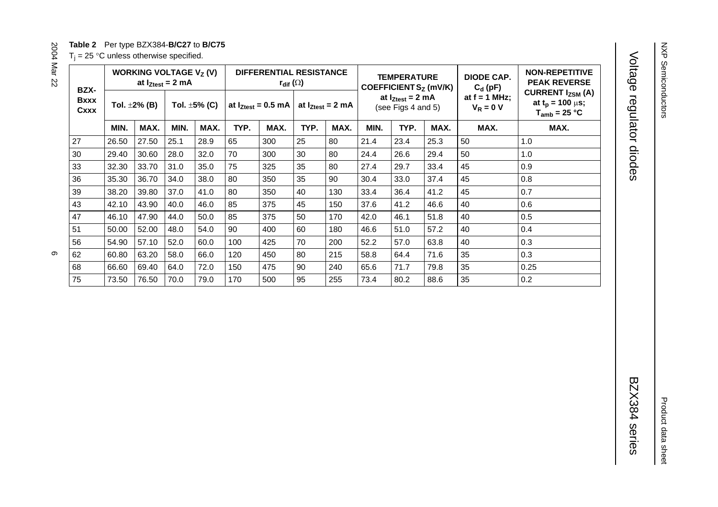# **Table 2** Per type BZX384-**B/C27** to **B/C75**

 $T_i = 25$  °C unless otherwise specified.

<span id="page-5-0"></span>

| BZX-                |       | WORKING VOLTAGE $V_Z(V)$<br>at $I_{Ztest} = 2$ mA |      |                    |      | DIFFERENTIAL RESISTANCE<br>$r_{\text{dif}}\left(\Omega\right)$ |      | <b>TEMPERATURE</b><br>COEFFICIENT S <sub>Z</sub> (mV/K) |      | <b>DIODE CAP.</b><br>$C_d$ (pF)             | <b>NON-REPETITIVE</b><br><b>PEAK REVERSE</b> |                                |                                                                                   |
|---------------------|-------|---------------------------------------------------|------|--------------------|------|----------------------------------------------------------------|------|---------------------------------------------------------|------|---------------------------------------------|----------------------------------------------|--------------------------------|-----------------------------------------------------------------------------------|
| <b>Bxxx</b><br>Cxxx |       | Tol. $\pm 2\%$ (B)                                |      | Tol. $\pm 5\%$ (C) |      | at $I_{Ztest} = 0.5$ mA                                        |      | at $I_{Ztest} = 2$ mA                                   |      | at $I_{Ztest} = 2$ mA<br>(see Figs 4 and 5) |                                              | at $f = 1$ MHz;<br>$V_R = 0 V$ | <b>CURRENT I<sub>ZSM</sub></b> (A)<br>at $t_p = 100 \mu s$ ;<br>$T_{amb}$ = 25 °C |
|                     | MIN.  | MAX.                                              | MIN. | MAX.               | TYP. | MAX.                                                           | TYP. | MAX.                                                    | MIN. | TYP.                                        | MAX.                                         | MAX.                           | MAX.                                                                              |
| 27                  | 26.50 | 27.50                                             | 25.1 | 28.9               | 65   | 300                                                            | 25   | 80                                                      | 21.4 | 23.4                                        | 25.3                                         | 50                             | 1.0                                                                               |
| 30                  | 29.40 | 30.60                                             | 28.0 | 32.0               | 70   | 300                                                            | 30   | 80                                                      | 24.4 | 26.6                                        | 29.4                                         | 50                             | 1.0                                                                               |
| 33                  | 32.30 | 33.70                                             | 31.0 | 35.0               | 75   | 325                                                            | 35   | 80                                                      | 27.4 | 29.7                                        | 33.4                                         | 45                             | 0.9                                                                               |
| 36                  | 35.30 | 36.70                                             | 34.0 | 38.0               | 80   | 350                                                            | 35   | 90                                                      | 30.4 | 33.0                                        | 37.4                                         | 45                             | 0.8                                                                               |
| 39                  | 38.20 | 39.80                                             | 37.0 | 41.0               | 80   | 350                                                            | 40   | 130                                                     | 33.4 | 36.4                                        | 41.2                                         | 45                             | 0.7                                                                               |
| 43                  | 42.10 | 43.90                                             | 40.0 | 46.0               | 85   | 375                                                            | 45   | 150                                                     | 37.6 | 41.2                                        | 46.6                                         | 40                             | 0.6                                                                               |
| 47                  | 46.10 | 47.90                                             | 44.0 | 50.0               | 85   | 375                                                            | 50   | 170                                                     | 42.0 | 46.1                                        | 51.8                                         | 40                             | 0.5                                                                               |
| 51                  | 50.00 | 52.00                                             | 48.0 | 54.0               | 90   | 400                                                            | 60   | 180                                                     | 46.6 | 51.0                                        | 57.2                                         | 40                             | 0.4                                                                               |
| 56                  | 54.90 | 57.10                                             | 52.0 | 60.0               | 100  | 425                                                            | 70   | 200                                                     | 52.2 | 57.0                                        | 63.8                                         | 40                             | 0.3                                                                               |
| 62                  | 60.80 | 63.20                                             | 58.0 | 66.0               | 120  | 450                                                            | 80   | 215                                                     | 58.8 | 64.4                                        | 71.6                                         | 35                             | 0.3                                                                               |
| 68                  | 66.60 | 69.40                                             | 64.0 | 72.0               | 150  | 475                                                            | 90   | 240                                                     | 65.6 | 71.7                                        | 79.8                                         | 35                             | 0.25                                                                              |
| 75                  | 73.50 | 76.50                                             | 70.0 | 79.0               | 170  | 500                                                            | 95   | 255                                                     | 73.4 | 80.2                                        | 88.6                                         | 35                             | 0.2                                                                               |

NXP Semiconductors

NXP Semiconductors

Product data sheet

Product data sheet

 $2000000000000000000000000000000000$  $\circ$ 

2004 Mar 22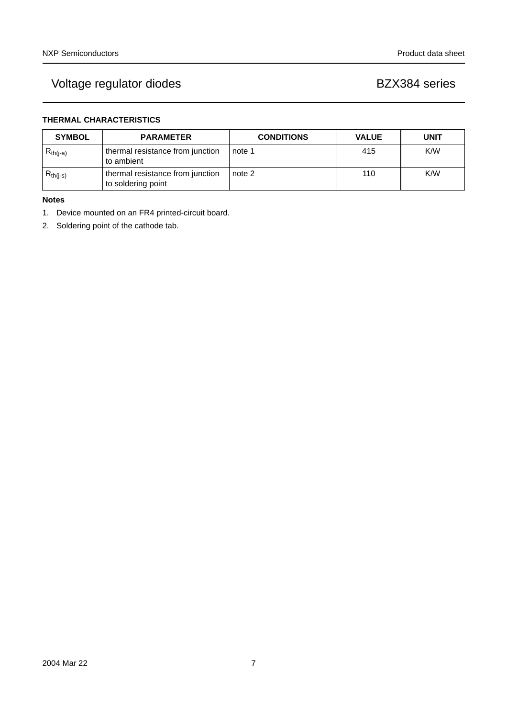# **THERMAL CHARACTERISTICS**

| <b>SYMBOL</b> | <b>PARAMETER</b>                                       | <b>CONDITIONS</b> | <b>VALUE</b> | <b>UNIT</b> |
|---------------|--------------------------------------------------------|-------------------|--------------|-------------|
| $R_{th(i-a)}$ | thermal resistance from junction<br>to ambient         | note 1            | 415          | K/W         |
| $R_{th(j-s)}$ | thermal resistance from junction<br>to soldering point | note 2            | 110          | K/W         |

# **Notes**

- <span id="page-6-0"></span>1. Device mounted on an FR4 printed-circuit board.
- <span id="page-6-1"></span>2. Soldering point of the cathode tab.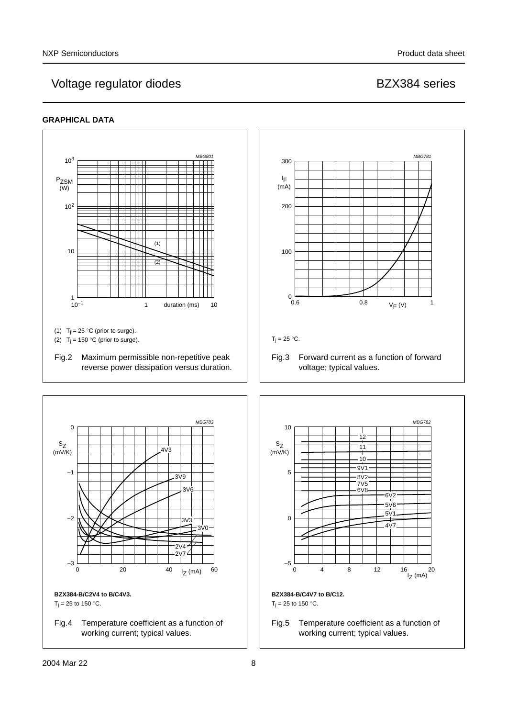## <span id="page-7-1"></span>**GRAPHICAL DATA**

<span id="page-7-2"></span><span id="page-7-0"></span>

Fig.4 Temperature coefficient as a function of working current; typical values.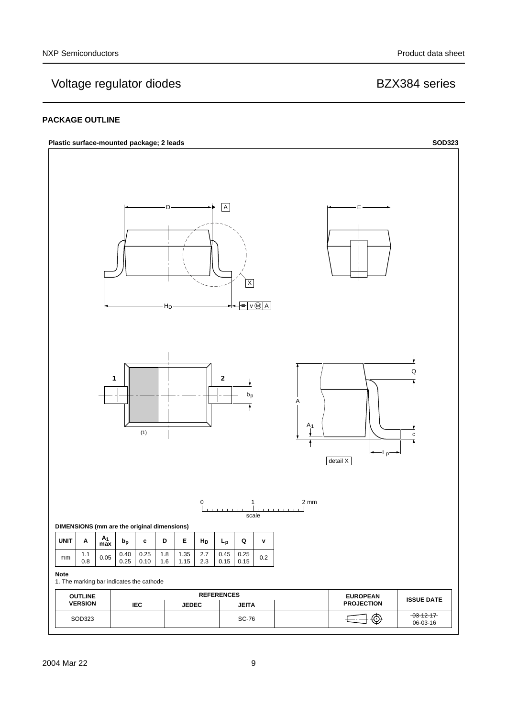## **PACKAGE OUTLINE**

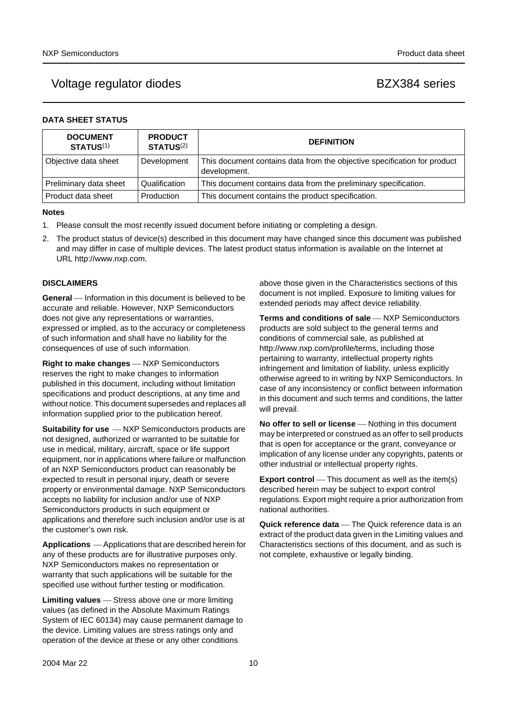# Voltage regulator diodes and the BZX384 series

|  | <b>DATA SHEET STATUS</b> |  |
|--|--------------------------|--|
|--|--------------------------|--|

| <b>DOCUMENT</b><br><b>STATUS(1)</b> | <b>PRODUCT</b><br>STATUS <sup>(2)</sup> | <b>DEFINITION</b>                                                                        |
|-------------------------------------|-----------------------------------------|------------------------------------------------------------------------------------------|
| Objective data sheet                | Development                             | This document contains data from the objective specification for product<br>development. |
| Preliminary data sheet              | Qualification                           | This document contains data from the preliminary specification.                          |
| l Product data sheet                | Production                              | This document contains the product specification.                                        |

### **Notes**

- <span id="page-9-0"></span>1. Please consult the most recently issued document before initiating or completing a design.
- <span id="page-9-1"></span>2. The product status of device(s) described in this document may have changed since this document was published and may differ in case of multiple devices. The latest product status information is available on the Internet at URL http://www.nxp.com.

### **DISCLAIMERS**

**General** — Information in this document is believed to be accurate and reliable. However, NXP Semiconductors does not give any representations or warranties, expressed or implied, as to the accuracy or completeness of such information and shall have no liability for the consequences of use of such information.

**Right to make changes** — NXP Semiconductors reserves the right to make changes to information published in this document, including without limitation specifications and product descriptions, at any time and without notice. This document supersedes and replaces all information supplied prior to the publication hereof.

**Suitability for use**  $-MXP$  Semiconductors products are not designed, authorized or warranted to be suitable for use in medical, military, aircraft, space or life support equipment, nor in applications where failure or malfunction of an NXP Semiconductors product can reasonably be expected to result in personal injury, death or severe property or environmental damage. NXP Semiconductors accepts no liability for inclusion and/or use of NXP Semiconductors products in such equipment or applications and therefore such inclusion and/or use is at the customer's own risk.

**Applications** ⎯ Applications that are described herein for any of these products are for illustrative purposes only. NXP Semiconductors makes no representation or warranty that such applications will be suitable for the specified use without further testing or modification.

**Limiting values** – Stress above one or more limiting values (as defined in the Absolute Maximum Ratings System of IEC 60134) may cause permanent damage to the device. Limiting values are stress ratings only and operation of the device at these or any other conditions

above those given in the Characteristics sections of this document is not implied. Exposure to limiting values for extended periods may affect device reliability.

**Terms and conditions of sale** - NXP Semiconductors products are sold subject to the general terms and conditions of commercial sale, as published at http://www.nxp.com/profile/terms, including those pertaining to warranty, intellectual property rights infringement and limitation of liability, unless explicitly [otherwise agreed to in writing by NXP Semiconductors. In](http://www.nxp.com/profile/terms)  case of any inconsistency or conflict between information in this document and such terms and conditions, the latter will prevail.

**No offer to sell or license** — Nothing in this document may be interpreted or construed as an offer to sell products that is open for acceptance or the grant, conveyance or implication of any license under any copyrights, patents or other industrial or intellectual property rights.

**Export control** — This document as well as the item(s) described herein may be subject to export control regulations. Export might require a prior authorization from national authorities.

**Quick reference data** – The Quick reference data is an extract of the product data given in the Limiting values and Characteristics sections of this document, and as such is not complete, exhaustive or legally binding.